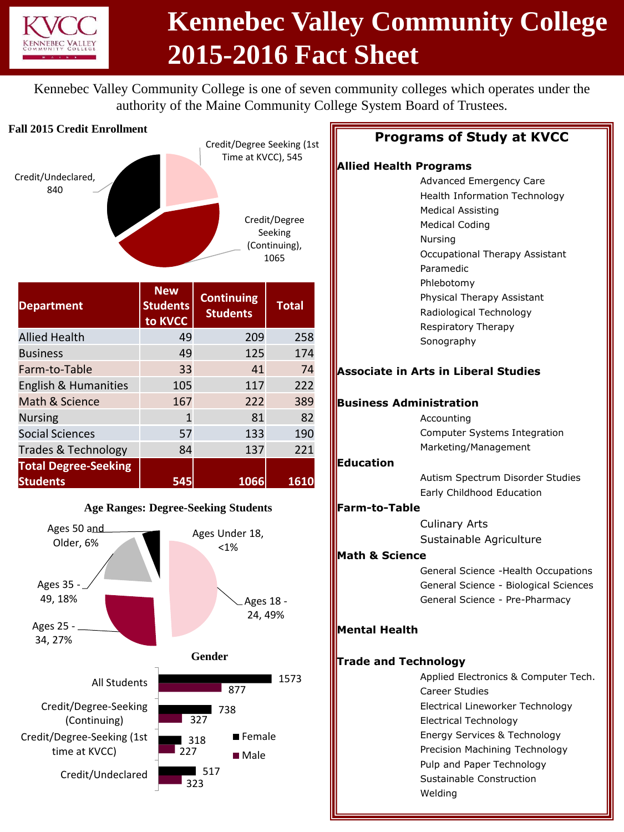

# **Kennebec Valley Community College 2015-2016 Fact Sheet**

Kennebec Valley Community College is one of seven community colleges which operates under the authority of the Maine Community College System Board of Trustees.

#### **Fall 2015 Credit Enrollment**



| <b>Department</b>           | <b>New</b><br><b>Students</b><br>to KVCC | <b>Continuing</b><br><b>Students</b> | <b>Total</b> |
|-----------------------------|------------------------------------------|--------------------------------------|--------------|
| <b>Allied Health</b>        | 49                                       | 209                                  | 258          |
| <b>Business</b>             | 49                                       | 125                                  | 174          |
| Farm-to-Table               | 33                                       | 41                                   | 74           |
| English & Humanities        | 105                                      | 117                                  | 222          |
| Math & Science              | 167                                      | 222                                  | 389          |
| <b>Nursing</b>              | 1                                        | 81                                   | 82           |
| <b>Social Sciences</b>      | 57                                       | 133                                  | 190          |
| Trades & Technology         | 84                                       | 137                                  | 221          |
| <b>Total Degree-Seeking</b> |                                          |                                      |              |
| <b>Students</b>             | 545                                      | 1066                                 | 1610         |



#### **Programs of Study at KVCC**

#### **Allied Health Programs**

|                             | .                                           |
|-----------------------------|---------------------------------------------|
|                             | Advanced Emergency Care                     |
|                             | <b>Health Information Technology</b>        |
|                             | <b>Medical Assisting</b>                    |
|                             | <b>Medical Coding</b>                       |
|                             | Nursing                                     |
|                             | Occupational Therapy Assistant              |
|                             | Paramedic                                   |
|                             | Phlebotomy                                  |
|                             | Physical Therapy Assistant                  |
|                             | Radiological Technology                     |
|                             | Respiratory Therapy                         |
|                             | Sonography                                  |
|                             | <b>Associate in Arts in Liberal Studies</b> |
|                             | <b>Business Administration</b>              |
|                             | Accounting                                  |
|                             | Computer Systems Integration                |
|                             | Marketing/Management                        |
| Education                   |                                             |
|                             | Autism Spectrum Disorder Studies            |
|                             | Early Childhood Education                   |
| Farm-to-Table               |                                             |
|                             | <b>Culinary Arts</b>                        |
|                             | Sustainable Agriculture                     |
|                             |                                             |
| <b>Math &amp; Science</b>   |                                             |
|                             | General Science - Health Occupations        |
|                             | General Science - Biological Sciences       |
|                             | General Science - Pre-Pharmacy              |
| Mental Health               |                                             |
| <b>Trade and Technology</b> |                                             |
|                             | Applied Electronics & Computer Tech.        |
|                             | <b>Career Studies</b>                       |
|                             | Electrical Lineworker Technology            |
|                             | <b>Electrical Technology</b>                |
|                             | Energy Services & Technology                |
|                             | Precision Machining Technology              |
|                             | Pulp and Paper Technology                   |
|                             | Sustainable Construction                    |
|                             |                                             |
|                             | Weldina                                     |